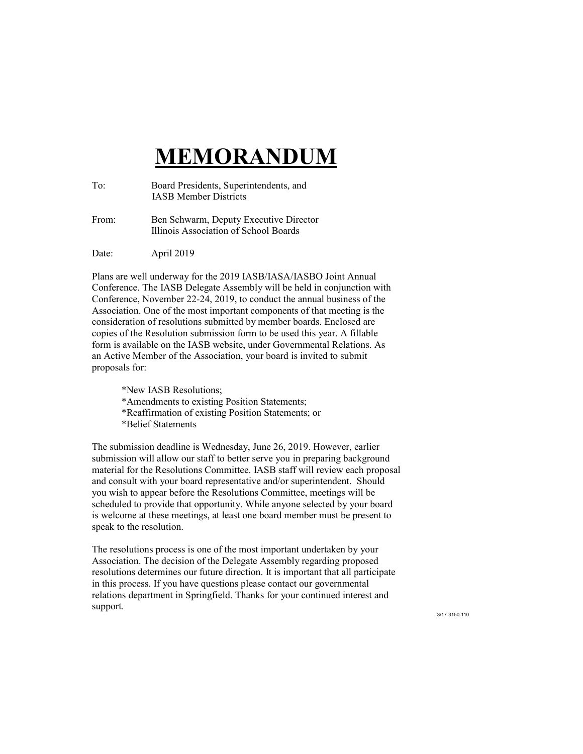## **MEMORANDUM MEMORANDUM**

| To: | Board Presidents, Superintendents, and |
|-----|----------------------------------------|
|     | <b>IASB Member Districts</b>           |

From: Ben Schwarm, Deputy Executive Director From: Ben Schwarm, Deputy Executive Director Illinois Association of School Boards Illinois Association of School Boards

Date: April 2019 Date: April 2019

Plans are well underway for the 2019 IASB/IASA/IASBO Joint Annual Plans are well underway for the 2019 IASB/IASA/IASBO Joint Annual Conference. The IASB Delegate Assembly will be held in conjunction with Conference. The IASB Delegate Assembly will be held in conjunction with Conference, November 22-24, 2019, to conduct the annual business of the Conference, November 22-24, 2019, to conduct the annual business of the Association. One of the most important components of that meeting is the Association. One of the most important components of that meeting is the consideration of resolutions submitted by member boards. Enclosed are consideration of resolutions submitted by member boards. Enclosed are copies of the Resolution submission form to be used this year. A fillable copies of the Resolution submission form to be used this year. A fillable form is available on the IASB website, under Governmental Relations. As form is available on the IASB website, under Governmental Relations. As an Active Member of the Association, your board is invited to submit an Active Member of the Association, your board is invited to submit proposals for: proposals for:

\*New IASB Resolutions; \*New IASB Resolutions; \*Amendments to existing Position Statements; \*Amendments to existing Position Statements; \*Reaffirmation of existing Position Statements; or \*Reaffirmation of existing Position Statements; or \*Belief Statements \*Belief Statements

The submission deadline is Wednesday, June 26, 2019. However, earlier The submission deadline is Wednesday, June 26, 2019. However, earlier submission will allow our staff to better serve you in preparing background submission will allow our staff to better serve you in preparing background material for the Resolutions Committee. IASB staff will review each proposal material for the Resolutions Committee. IASB staff will review each proposal and consult with your board representative and/or superintendent. Should and consult with your board representative and/or superintendent. Should you wish to appear before the Resolutions Committee, meetings will be scheduled to provide that opportunity. While anyone selected by your board scheduled to provide that opportunity. While anyone selected by your board is welcome at these meetings, at least one board member must be present to is welcome at these meetings, at least one board member must be present to speak to the resolution. speak to the resolution.

The resolutions process is one of the most important undertaken by your The resolutions process is one of the most important undertaken by your Association. The decision of the Delegate Assembly regarding proposed Association. The decision of the Delegate Assembly regarding proposed resolutions determines our future direction. It is important that all participate resolutions determines our future direction. It is important that all participate in this process. If you have questions please contact our governmental in this process. If you have questions please contact our governmental relations department in Springfield. Thanks for your continued interest and support.

3/17-3150-110 3/17-3150-110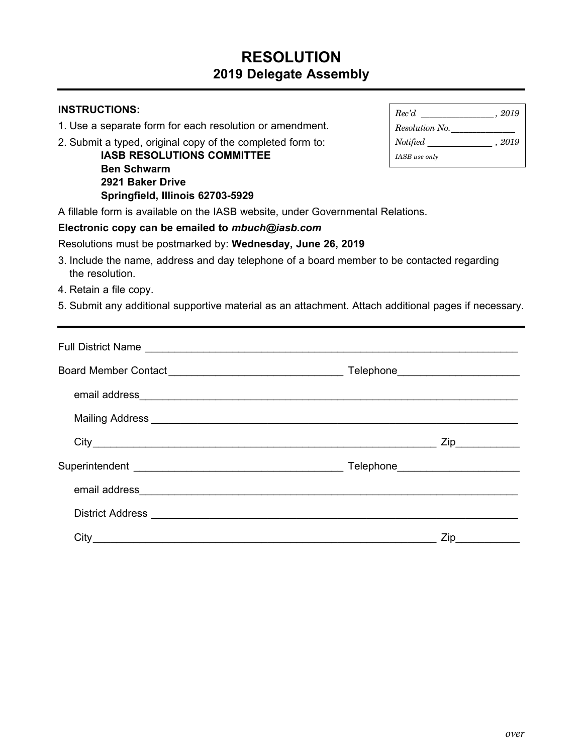## **RESOLUTION 2019 Delegate Assembly**

| <b>INSTRUCTIONS:</b>                                                                                                                                                                                                                 |                                                                                                                                                                                                                                                                                                                                                                                                                                                                                    |
|--------------------------------------------------------------------------------------------------------------------------------------------------------------------------------------------------------------------------------------|------------------------------------------------------------------------------------------------------------------------------------------------------------------------------------------------------------------------------------------------------------------------------------------------------------------------------------------------------------------------------------------------------------------------------------------------------------------------------------|
| 1. Use a separate form for each resolution or amendment.                                                                                                                                                                             | $\label{eq:resolution} Resolution\ No.\ \_\_$                                                                                                                                                                                                                                                                                                                                                                                                                                      |
| 2. Submit a typed, original copy of the completed form to:<br><b>IASB RESOLUTIONS COMMITTEE</b>                                                                                                                                      | $\label{eq:notified} {\it Notified} \begin{tabular}{l} \multicolumn{3}{c}{\text{}{{\color{blue}{\bf{N}}}}}\mbox{of}{\color{blue}{\bf{N}}}\mbox{of}{\color{blue}{\bf{N}}}\mbox{of}{\color{blue}{\bf{N}}}\mbox{of}{\color{blue}{\bf{N}}}\mbox{of}{\color{blue}{\bf{N}}}\mbox{of}{\color{blue}{\bf{N}}}\mbox{of} \begin{tabular}{c} \multicolumn{3}{c}{\text{}}\mbox{}}\mbox{of} \begin{tabular}{c} \multicolumn{3}{c}{\text{}}\mbox{}}\mbox{of} \begin{tabular}{c}$<br>IASB use only |
| <b>Ben Schwarm</b><br>2921 Baker Drive<br>Springfield, Illinois 62703-5929                                                                                                                                                           |                                                                                                                                                                                                                                                                                                                                                                                                                                                                                    |
| A fillable form is available on the IASB website, under Governmental Relations.                                                                                                                                                      |                                                                                                                                                                                                                                                                                                                                                                                                                                                                                    |
| Electronic copy can be emailed to mbuch@iasb.com                                                                                                                                                                                     |                                                                                                                                                                                                                                                                                                                                                                                                                                                                                    |
| Resolutions must be postmarked by: Wednesday, June 26, 2019                                                                                                                                                                          |                                                                                                                                                                                                                                                                                                                                                                                                                                                                                    |
| 3. Include the name, address and day telephone of a board member to be contacted regarding<br>the resolution.                                                                                                                        |                                                                                                                                                                                                                                                                                                                                                                                                                                                                                    |
| 4. Retain a file copy.                                                                                                                                                                                                               |                                                                                                                                                                                                                                                                                                                                                                                                                                                                                    |
| 5. Submit any additional supportive material as an attachment. Attach additional pages if necessary.                                                                                                                                 |                                                                                                                                                                                                                                                                                                                                                                                                                                                                                    |
|                                                                                                                                                                                                                                      |                                                                                                                                                                                                                                                                                                                                                                                                                                                                                    |
| Full District Name Law and Contract of the Contract of the Contract of the Contract of the Contract of the Contract of the Contract of the Contract of the Contract of the Contract of the Contract of the Contract of the Con       |                                                                                                                                                                                                                                                                                                                                                                                                                                                                                    |
|                                                                                                                                                                                                                                      |                                                                                                                                                                                                                                                                                                                                                                                                                                                                                    |
|                                                                                                                                                                                                                                      |                                                                                                                                                                                                                                                                                                                                                                                                                                                                                    |
| Mailing Address <b>contract and a manufacturer and a manufacturer and a manufacturer and a manufacturer and a manufacturer and a manufacturer and a manufacturer and a manufacturer and a manufacturer and a manufacturer and a </b> |                                                                                                                                                                                                                                                                                                                                                                                                                                                                                    |
|                                                                                                                                                                                                                                      |                                                                                                                                                                                                                                                                                                                                                                                                                                                                                    |
|                                                                                                                                                                                                                                      |                                                                                                                                                                                                                                                                                                                                                                                                                                                                                    |
|                                                                                                                                                                                                                                      |                                                                                                                                                                                                                                                                                                                                                                                                                                                                                    |
| District Address experience and the contract of the contract of the contract of the contract of the contract of the contract of the contract of the contract of the contract of the contract of the contract of the contract o       |                                                                                                                                                                                                                                                                                                                                                                                                                                                                                    |
| City                                                                                                                                                                                                                                 | Zip                                                                                                                                                                                                                                                                                                                                                                                                                                                                                |